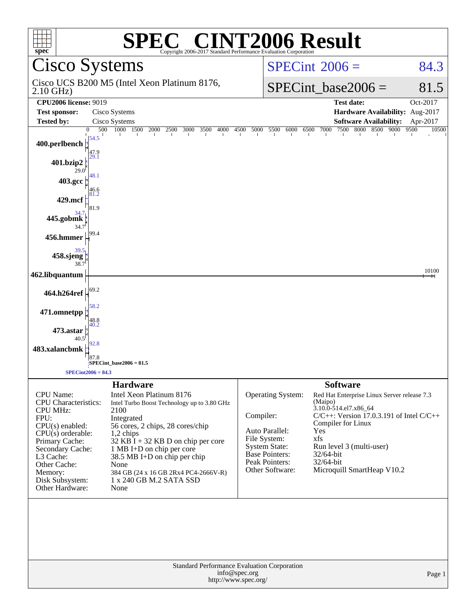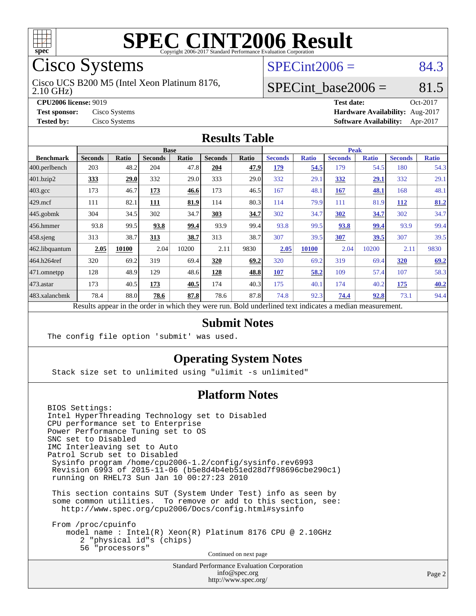

Cisco Systems

2.10 GHz) Cisco UCS B200 M5 (Intel Xeon Platinum 8176,  $SPECint2006 = 84.3$  $SPECint2006 = 84.3$ 

### SPECint base2006 =  $81.5$

**[CPU2006 license:](http://www.spec.org/auto/cpu2006/Docs/result-fields.html#CPU2006license)** 9019 **[Test date:](http://www.spec.org/auto/cpu2006/Docs/result-fields.html#Testdate)** Oct-2017 **[Test sponsor:](http://www.spec.org/auto/cpu2006/Docs/result-fields.html#Testsponsor)** Cisco Systems **[Hardware Availability:](http://www.spec.org/auto/cpu2006/Docs/result-fields.html#HardwareAvailability)** Aug-2017 **[Tested by:](http://www.spec.org/auto/cpu2006/Docs/result-fields.html#Testedby)** Cisco Systems **[Software Availability:](http://www.spec.org/auto/cpu2006/Docs/result-fields.html#SoftwareAvailability)** Apr-2017

#### **[Results Table](http://www.spec.org/auto/cpu2006/Docs/result-fields.html#ResultsTable)**

|                                                                                                          |                | <b>Base</b>  |                | <b>Peak</b> |                |       |                |              |                |              |                |              |
|----------------------------------------------------------------------------------------------------------|----------------|--------------|----------------|-------------|----------------|-------|----------------|--------------|----------------|--------------|----------------|--------------|
| <b>Benchmark</b>                                                                                         | <b>Seconds</b> | <b>Ratio</b> | <b>Seconds</b> | Ratio       | <b>Seconds</b> | Ratio | <b>Seconds</b> | <b>Ratio</b> | <b>Seconds</b> | <b>Ratio</b> | <b>Seconds</b> | <b>Ratio</b> |
| $ 400$ .perlbench                                                                                        | 203            | 48.2         | 204            | 47.8        | 204            | 47.9  | 179            | 54.5         | 179            | 54.5         | 180            | 54.3         |
| $401$ .bzip2                                                                                             | 333            | 29.0         | 332            | 29.0        | 333            | 29.0  | 332            | 29.1         | 332            | 29.1         | 332            | 29.1         |
| $403.\mathrm{gcc}$                                                                                       | 173            | 46.7         | 173            | 46.6        | 173            | 46.5  | 167            | 48.1         | 167            | 48.1         | 168            | 48.1         |
| $429$ mcf                                                                                                | 111            | 82.1         | 111            | 81.9        | 114            | 80.3  | 114            | 79.9         | 111            | 81.9         | 112            | 81.2         |
| $445$ .gobmk                                                                                             | 304            | 34.5         | 302            | 34.7        | 303            | 34.7  | 302            | 34.7         | 302            | 34.7         | 302            | 34.7         |
| $456.$ hmmer                                                                                             | 93.8           | 99.5         | 93.8           | 99.4        | 93.9           | 99.4  | 93.8           | 99.5         | 93.8           | 99.4         | 93.9           | 99.4         |
| $458$ .sjeng                                                                                             | 313            | 38.7         | 313            | 38.7        | 313            | 38.7  | 307            | 39.5         | 307            | 39.5         | 307            | 39.5         |
| 462.libquantum                                                                                           | 2.05           | 10100        | 2.04           | 10200       | 2.11           | 9830  | 2.05           | <b>10100</b> | 2.04           | 10200        | 2.11           | 9830         |
| 464.h264ref                                                                                              | 320            | 69.2         | 319            | 69.4        | 320            | 69.2  | 320            | 69.2         | 319            | 69.4         | 320            | 69.2         |
| 471.omnetpp                                                                                              | 128            | 48.9         | 129            | 48.6        | 128            | 48.8  | 107            | 58.2         | 109            | 57.4         | 107            | 58.3         |
| $473$ . astar                                                                                            | 173            | 40.5         | 173            | 40.5        | 174            | 40.3  | 175            | 40.1         | 174            | 40.2         | 175            | 40.2         |
| 483.xalancbmk                                                                                            | 78.4           | 88.0         | 78.6           | 87.8        | 78.6           | 87.8  | 74.8           | 92.3         | 74.4           | 92.8         | 73.1           | 94.4         |
| Results appear in the order in which they were run. Bold underlined text indicates a median measurement. |                |              |                |             |                |       |                |              |                |              |                |              |

#### **[Submit Notes](http://www.spec.org/auto/cpu2006/Docs/result-fields.html#SubmitNotes)**

The config file option 'submit' was used.

#### **[Operating System Notes](http://www.spec.org/auto/cpu2006/Docs/result-fields.html#OperatingSystemNotes)**

Stack size set to unlimited using "ulimit -s unlimited"

#### **[Platform Notes](http://www.spec.org/auto/cpu2006/Docs/result-fields.html#PlatformNotes)**

BIOS Settings: Intel HyperThreading Technology set to Disabled CPU performance set to Enterprise Power Performance Tuning set to OS SNC set to Disabled IMC Interleaving set to Auto Patrol Scrub set to Disabled Sysinfo program /home/cpu2006-1.2/config/sysinfo.rev6993 Revision 6993 of 2015-11-06 (b5e8d4b4eb51ed28d7f98696cbe290c1) running on RHEL73 Sun Jan 10 00:27:23 2010 This section contains SUT (System Under Test) info as seen by

 some common utilities. To remove or add to this section, see: <http://www.spec.org/cpu2006/Docs/config.html#sysinfo>

 From /proc/cpuinfo model name : Intel(R) Xeon(R) Platinum 8176 CPU @ 2.10GHz 2 "physical id"s (chips) 56 "processors" Continued on next page

> Standard Performance Evaluation Corporation [info@spec.org](mailto:info@spec.org) <http://www.spec.org/>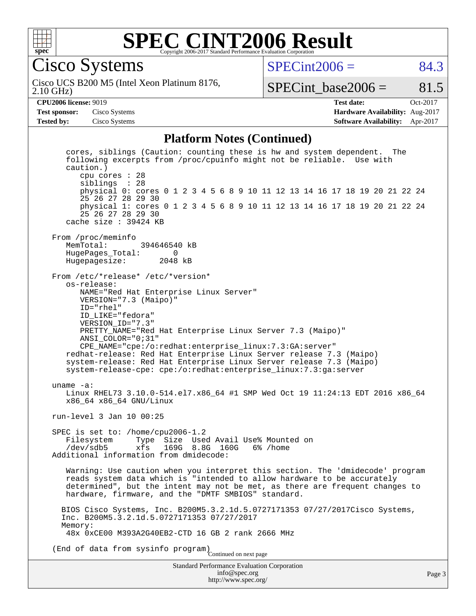

Cisco Systems

 $SPECint2006 = 84.3$  $SPECint2006 = 84.3$ 

2.10 GHz) Cisco UCS B200 M5 (Intel Xeon Platinum 8176,

SPECint base2006 =  $81.5$ 

**[CPU2006 license:](http://www.spec.org/auto/cpu2006/Docs/result-fields.html#CPU2006license)** 9019 **[Test date:](http://www.spec.org/auto/cpu2006/Docs/result-fields.html#Testdate)** Oct-2017 **[Test sponsor:](http://www.spec.org/auto/cpu2006/Docs/result-fields.html#Testsponsor)** Cisco Systems **[Hardware Availability:](http://www.spec.org/auto/cpu2006/Docs/result-fields.html#HardwareAvailability)** Aug-2017 **[Tested by:](http://www.spec.org/auto/cpu2006/Docs/result-fields.html#Testedby)** Cisco Systems **[Software Availability:](http://www.spec.org/auto/cpu2006/Docs/result-fields.html#SoftwareAvailability)** Apr-2017

#### **[Platform Notes \(Continued\)](http://www.spec.org/auto/cpu2006/Docs/result-fields.html#PlatformNotes)**

Standard Performance Evaluation Corporation [info@spec.org](mailto:info@spec.org) cores, siblings (Caution: counting these is hw and system dependent. The following excerpts from /proc/cpuinfo might not be reliable. Use with caution.) cpu cores : 28 siblings : 28 physical 0: cores 0 1 2 3 4 5 6 8 9 10 11 12 13 14 16 17 18 19 20 21 22 24 25 26 27 28 29 30 physical 1: cores 0 1 2 3 4 5 6 8 9 10 11 12 13 14 16 17 18 19 20 21 22 24 25 26 27 28 29 30 cache size : 39424 KB From /proc/meminfo MemTotal: 394646540 kB HugePages\_Total: 0<br>Hugepagesize: 2048 kB Hugepagesize: From /etc/\*release\* /etc/\*version\* os-release: NAME="Red Hat Enterprise Linux Server" VERSION="7.3 (Maipo)" ID="rhel" ID\_LIKE="fedora" VERSION\_ID="7.3" PRETTY\_NAME="Red Hat Enterprise Linux Server 7.3 (Maipo)" ANSI\_COLOR="0;31" CPE\_NAME="cpe:/o:redhat:enterprise\_linux:7.3:GA:server" redhat-release: Red Hat Enterprise Linux Server release 7.3 (Maipo) system-release: Red Hat Enterprise Linux Server release 7.3 (Maipo) system-release-cpe: cpe:/o:redhat:enterprise\_linux:7.3:ga:server uname -a: Linux RHEL73 3.10.0-514.el7.x86\_64 #1 SMP Wed Oct 19 11:24:13 EDT 2016 x86\_64 x86\_64 x86\_64 GNU/Linux run-level 3 Jan 10 00:25 SPEC is set to: /home/cpu2006-1.2<br>Filesystem Type Size Use Filesystem Type Size Used Avail Use% Mounted on /dev/sdb5 xfs 169G 8.8G 160G 6% /home Additional information from dmidecode: Warning: Use caution when you interpret this section. The 'dmidecode' program reads system data which is "intended to allow hardware to be accurately determined", but the intent may not be met, as there are frequent changes to hardware, firmware, and the "DMTF SMBIOS" standard. BIOS Cisco Systems, Inc. B200M5.3.2.1d.5.0727171353 07/27/2017Cisco Systems, Inc. B200M5.3.2.1d.5.0727171353 07/27/2017 Memory: 48x 0xCE00 M393A2G40EB2-CTD 16 GB 2 rank 2666 MHz (End of data from sysinfo program) Continued on next page

<http://www.spec.org/>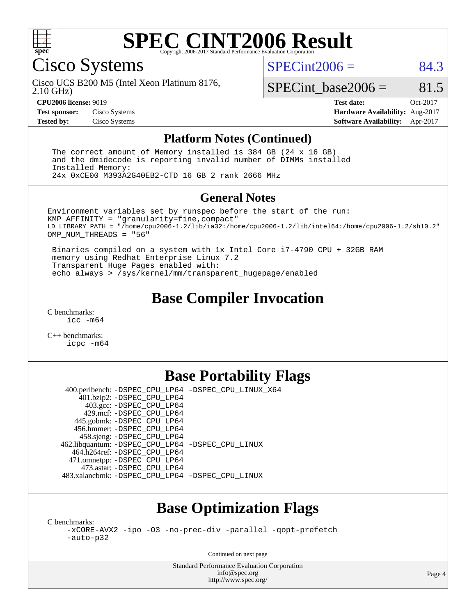

Cisco Systems

 $SPECint2006 = 84.3$  $SPECint2006 = 84.3$ 

2.10 GHz) Cisco UCS B200 M5 (Intel Xeon Platinum 8176,

SPECint base2006 =  $81.5$ 

**[CPU2006 license:](http://www.spec.org/auto/cpu2006/Docs/result-fields.html#CPU2006license)** 9019 **[Test date:](http://www.spec.org/auto/cpu2006/Docs/result-fields.html#Testdate)** Oct-2017 **[Test sponsor:](http://www.spec.org/auto/cpu2006/Docs/result-fields.html#Testsponsor)** Cisco Systems **[Hardware Availability:](http://www.spec.org/auto/cpu2006/Docs/result-fields.html#HardwareAvailability)** Aug-2017 **[Tested by:](http://www.spec.org/auto/cpu2006/Docs/result-fields.html#Testedby)** Cisco Systems **[Software Availability:](http://www.spec.org/auto/cpu2006/Docs/result-fields.html#SoftwareAvailability)** Apr-2017

#### **[Platform Notes \(Continued\)](http://www.spec.org/auto/cpu2006/Docs/result-fields.html#PlatformNotes)**

 The correct amount of Memory installed is 384 GB (24 x 16 GB) and the dmidecode is reporting invalid number of DIMMs installed Installed Memory: 24x 0xCE00 M393A2G40EB2-CTD 16 GB 2 rank 2666 MHz

#### **[General Notes](http://www.spec.org/auto/cpu2006/Docs/result-fields.html#GeneralNotes)**

Environment variables set by runspec before the start of the run: KMP\_AFFINITY = "granularity=fine,compact" LD\_LIBRARY\_PATH = "/home/cpu2006-1.2/lib/ia32:/home/cpu2006-1.2/lib/intel64:/home/cpu2006-1.2/sh10.2" OMP NUM THREADS = "56"

 Binaries compiled on a system with 1x Intel Core i7-4790 CPU + 32GB RAM memory using Redhat Enterprise Linux 7.2 Transparent Huge Pages enabled with: echo always > /sys/kernel/mm/transparent\_hugepage/enabled

### **[Base Compiler Invocation](http://www.spec.org/auto/cpu2006/Docs/result-fields.html#BaseCompilerInvocation)**

[C benchmarks](http://www.spec.org/auto/cpu2006/Docs/result-fields.html#Cbenchmarks): [icc -m64](http://www.spec.org/cpu2006/results/res2017q4/cpu2006-20171114-50704.flags.html#user_CCbase_intel_icc_64bit_bda6cc9af1fdbb0edc3795bac97ada53)

[C++ benchmarks:](http://www.spec.org/auto/cpu2006/Docs/result-fields.html#CXXbenchmarks) [icpc -m64](http://www.spec.org/cpu2006/results/res2017q4/cpu2006-20171114-50704.flags.html#user_CXXbase_intel_icpc_64bit_fc66a5337ce925472a5c54ad6a0de310)

## **[Base Portability Flags](http://www.spec.org/auto/cpu2006/Docs/result-fields.html#BasePortabilityFlags)**

 400.perlbench: [-DSPEC\\_CPU\\_LP64](http://www.spec.org/cpu2006/results/res2017q4/cpu2006-20171114-50704.flags.html#b400.perlbench_basePORTABILITY_DSPEC_CPU_LP64) [-DSPEC\\_CPU\\_LINUX\\_X64](http://www.spec.org/cpu2006/results/res2017q4/cpu2006-20171114-50704.flags.html#b400.perlbench_baseCPORTABILITY_DSPEC_CPU_LINUX_X64) 401.bzip2: [-DSPEC\\_CPU\\_LP64](http://www.spec.org/cpu2006/results/res2017q4/cpu2006-20171114-50704.flags.html#suite_basePORTABILITY401_bzip2_DSPEC_CPU_LP64) 403.gcc: [-DSPEC\\_CPU\\_LP64](http://www.spec.org/cpu2006/results/res2017q4/cpu2006-20171114-50704.flags.html#suite_basePORTABILITY403_gcc_DSPEC_CPU_LP64) 429.mcf: [-DSPEC\\_CPU\\_LP64](http://www.spec.org/cpu2006/results/res2017q4/cpu2006-20171114-50704.flags.html#suite_basePORTABILITY429_mcf_DSPEC_CPU_LP64) 445.gobmk: [-DSPEC\\_CPU\\_LP64](http://www.spec.org/cpu2006/results/res2017q4/cpu2006-20171114-50704.flags.html#suite_basePORTABILITY445_gobmk_DSPEC_CPU_LP64) 456.hmmer: [-DSPEC\\_CPU\\_LP64](http://www.spec.org/cpu2006/results/res2017q4/cpu2006-20171114-50704.flags.html#suite_basePORTABILITY456_hmmer_DSPEC_CPU_LP64) 458.sjeng: [-DSPEC\\_CPU\\_LP64](http://www.spec.org/cpu2006/results/res2017q4/cpu2006-20171114-50704.flags.html#suite_basePORTABILITY458_sjeng_DSPEC_CPU_LP64) 462.libquantum: [-DSPEC\\_CPU\\_LP64](http://www.spec.org/cpu2006/results/res2017q4/cpu2006-20171114-50704.flags.html#suite_basePORTABILITY462_libquantum_DSPEC_CPU_LP64) [-DSPEC\\_CPU\\_LINUX](http://www.spec.org/cpu2006/results/res2017q4/cpu2006-20171114-50704.flags.html#b462.libquantum_baseCPORTABILITY_DSPEC_CPU_LINUX) 464.h264ref: [-DSPEC\\_CPU\\_LP64](http://www.spec.org/cpu2006/results/res2017q4/cpu2006-20171114-50704.flags.html#suite_basePORTABILITY464_h264ref_DSPEC_CPU_LP64) 471.omnetpp: [-DSPEC\\_CPU\\_LP64](http://www.spec.org/cpu2006/results/res2017q4/cpu2006-20171114-50704.flags.html#suite_basePORTABILITY471_omnetpp_DSPEC_CPU_LP64) 473.astar: [-DSPEC\\_CPU\\_LP64](http://www.spec.org/cpu2006/results/res2017q4/cpu2006-20171114-50704.flags.html#suite_basePORTABILITY473_astar_DSPEC_CPU_LP64) 483.xalancbmk: [-DSPEC\\_CPU\\_LP64](http://www.spec.org/cpu2006/results/res2017q4/cpu2006-20171114-50704.flags.html#suite_basePORTABILITY483_xalancbmk_DSPEC_CPU_LP64) [-DSPEC\\_CPU\\_LINUX](http://www.spec.org/cpu2006/results/res2017q4/cpu2006-20171114-50704.flags.html#b483.xalancbmk_baseCXXPORTABILITY_DSPEC_CPU_LINUX)

## **[Base Optimization Flags](http://www.spec.org/auto/cpu2006/Docs/result-fields.html#BaseOptimizationFlags)**

[C benchmarks](http://www.spec.org/auto/cpu2006/Docs/result-fields.html#Cbenchmarks):

[-xCORE-AVX2](http://www.spec.org/cpu2006/results/res2017q4/cpu2006-20171114-50704.flags.html#user_CCbase_f-xCORE-AVX2) [-ipo](http://www.spec.org/cpu2006/results/res2017q4/cpu2006-20171114-50704.flags.html#user_CCbase_f-ipo) [-O3](http://www.spec.org/cpu2006/results/res2017q4/cpu2006-20171114-50704.flags.html#user_CCbase_f-O3) [-no-prec-div](http://www.spec.org/cpu2006/results/res2017q4/cpu2006-20171114-50704.flags.html#user_CCbase_f-no-prec-div) [-parallel](http://www.spec.org/cpu2006/results/res2017q4/cpu2006-20171114-50704.flags.html#user_CCbase_f-parallel) [-qopt-prefetch](http://www.spec.org/cpu2006/results/res2017q4/cpu2006-20171114-50704.flags.html#user_CCbase_f-qopt-prefetch) [-auto-p32](http://www.spec.org/cpu2006/results/res2017q4/cpu2006-20171114-50704.flags.html#user_CCbase_f-auto-p32)

Continued on next page

Standard Performance Evaluation Corporation [info@spec.org](mailto:info@spec.org) <http://www.spec.org/>

Page 4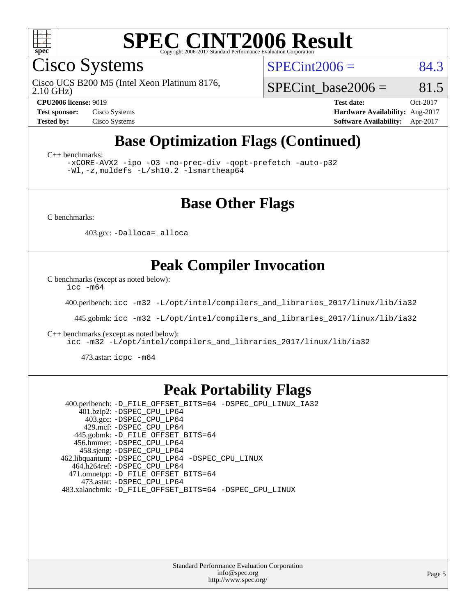

Cisco Systems

 $SPECint2006 = 84.3$  $SPECint2006 = 84.3$ 

2.10 GHz) Cisco UCS B200 M5 (Intel Xeon Platinum 8176,

SPECint base2006 =  $81.5$ 

**[CPU2006 license:](http://www.spec.org/auto/cpu2006/Docs/result-fields.html#CPU2006license)** 9019 **[Test date:](http://www.spec.org/auto/cpu2006/Docs/result-fields.html#Testdate)** Oct-2017 **[Test sponsor:](http://www.spec.org/auto/cpu2006/Docs/result-fields.html#Testsponsor)** Cisco Systems **[Hardware Availability:](http://www.spec.org/auto/cpu2006/Docs/result-fields.html#HardwareAvailability)** Aug-2017 **[Tested by:](http://www.spec.org/auto/cpu2006/Docs/result-fields.html#Testedby)** Cisco Systems **[Software Availability:](http://www.spec.org/auto/cpu2006/Docs/result-fields.html#SoftwareAvailability)** Apr-2017

# **[Base Optimization Flags \(Continued\)](http://www.spec.org/auto/cpu2006/Docs/result-fields.html#BaseOptimizationFlags)**

[C++ benchmarks:](http://www.spec.org/auto/cpu2006/Docs/result-fields.html#CXXbenchmarks)

[-xCORE-AVX2](http://www.spec.org/cpu2006/results/res2017q4/cpu2006-20171114-50704.flags.html#user_CXXbase_f-xCORE-AVX2) [-ipo](http://www.spec.org/cpu2006/results/res2017q4/cpu2006-20171114-50704.flags.html#user_CXXbase_f-ipo) [-O3](http://www.spec.org/cpu2006/results/res2017q4/cpu2006-20171114-50704.flags.html#user_CXXbase_f-O3) [-no-prec-div](http://www.spec.org/cpu2006/results/res2017q4/cpu2006-20171114-50704.flags.html#user_CXXbase_f-no-prec-div) [-qopt-prefetch](http://www.spec.org/cpu2006/results/res2017q4/cpu2006-20171114-50704.flags.html#user_CXXbase_f-qopt-prefetch) [-auto-p32](http://www.spec.org/cpu2006/results/res2017q4/cpu2006-20171114-50704.flags.html#user_CXXbase_f-auto-p32) [-Wl,-z,muldefs](http://www.spec.org/cpu2006/results/res2017q4/cpu2006-20171114-50704.flags.html#user_CXXbase_link_force_multiple1_74079c344b956b9658436fd1b6dd3a8a) [-L/sh10.2 -lsmartheap64](http://www.spec.org/cpu2006/results/res2017q4/cpu2006-20171114-50704.flags.html#user_CXXbase_SmartHeap64_63911d860fc08c15fa1d5bf319b9d8d5)

### **[Base Other Flags](http://www.spec.org/auto/cpu2006/Docs/result-fields.html#BaseOtherFlags)**

[C benchmarks](http://www.spec.org/auto/cpu2006/Docs/result-fields.html#Cbenchmarks):

403.gcc: [-Dalloca=\\_alloca](http://www.spec.org/cpu2006/results/res2017q4/cpu2006-20171114-50704.flags.html#b403.gcc_baseEXTRA_CFLAGS_Dalloca_be3056838c12de2578596ca5467af7f3)

### **[Peak Compiler Invocation](http://www.spec.org/auto/cpu2006/Docs/result-fields.html#PeakCompilerInvocation)**

[C benchmarks \(except as noted below\)](http://www.spec.org/auto/cpu2006/Docs/result-fields.html#Cbenchmarksexceptasnotedbelow):

[icc -m64](http://www.spec.org/cpu2006/results/res2017q4/cpu2006-20171114-50704.flags.html#user_CCpeak_intel_icc_64bit_bda6cc9af1fdbb0edc3795bac97ada53)

400.perlbench: [icc -m32 -L/opt/intel/compilers\\_and\\_libraries\\_2017/linux/lib/ia32](http://www.spec.org/cpu2006/results/res2017q4/cpu2006-20171114-50704.flags.html#user_peakCCLD400_perlbench_intel_icc_c29f3ff5a7ed067b11e4ec10a03f03ae)

445.gobmk: [icc -m32 -L/opt/intel/compilers\\_and\\_libraries\\_2017/linux/lib/ia32](http://www.spec.org/cpu2006/results/res2017q4/cpu2006-20171114-50704.flags.html#user_peakCCLD445_gobmk_intel_icc_c29f3ff5a7ed067b11e4ec10a03f03ae)

[C++ benchmarks \(except as noted below\):](http://www.spec.org/auto/cpu2006/Docs/result-fields.html#CXXbenchmarksexceptasnotedbelow)

[icc -m32 -L/opt/intel/compilers\\_and\\_libraries\\_2017/linux/lib/ia32](http://www.spec.org/cpu2006/results/res2017q4/cpu2006-20171114-50704.flags.html#user_CXXpeak_intel_icc_c29f3ff5a7ed067b11e4ec10a03f03ae)

473.astar: [icpc -m64](http://www.spec.org/cpu2006/results/res2017q4/cpu2006-20171114-50704.flags.html#user_peakCXXLD473_astar_intel_icpc_64bit_fc66a5337ce925472a5c54ad6a0de310)

### **[Peak Portability Flags](http://www.spec.org/auto/cpu2006/Docs/result-fields.html#PeakPortabilityFlags)**

 400.perlbench: [-D\\_FILE\\_OFFSET\\_BITS=64](http://www.spec.org/cpu2006/results/res2017q4/cpu2006-20171114-50704.flags.html#user_peakPORTABILITY400_perlbench_file_offset_bits_64_438cf9856305ebd76870a2c6dc2689ab) [-DSPEC\\_CPU\\_LINUX\\_IA32](http://www.spec.org/cpu2006/results/res2017q4/cpu2006-20171114-50704.flags.html#b400.perlbench_peakCPORTABILITY_DSPEC_CPU_LINUX_IA32) 401.bzip2: [-DSPEC\\_CPU\\_LP64](http://www.spec.org/cpu2006/results/res2017q4/cpu2006-20171114-50704.flags.html#suite_peakPORTABILITY401_bzip2_DSPEC_CPU_LP64) 403.gcc: [-DSPEC\\_CPU\\_LP64](http://www.spec.org/cpu2006/results/res2017q4/cpu2006-20171114-50704.flags.html#suite_peakPORTABILITY403_gcc_DSPEC_CPU_LP64) 429.mcf: [-DSPEC\\_CPU\\_LP64](http://www.spec.org/cpu2006/results/res2017q4/cpu2006-20171114-50704.flags.html#suite_peakPORTABILITY429_mcf_DSPEC_CPU_LP64) 445.gobmk: [-D\\_FILE\\_OFFSET\\_BITS=64](http://www.spec.org/cpu2006/results/res2017q4/cpu2006-20171114-50704.flags.html#user_peakPORTABILITY445_gobmk_file_offset_bits_64_438cf9856305ebd76870a2c6dc2689ab) 456.hmmer: [-DSPEC\\_CPU\\_LP64](http://www.spec.org/cpu2006/results/res2017q4/cpu2006-20171114-50704.flags.html#suite_peakPORTABILITY456_hmmer_DSPEC_CPU_LP64) 458.sjeng: [-DSPEC\\_CPU\\_LP64](http://www.spec.org/cpu2006/results/res2017q4/cpu2006-20171114-50704.flags.html#suite_peakPORTABILITY458_sjeng_DSPEC_CPU_LP64) 462.libquantum: [-DSPEC\\_CPU\\_LP64](http://www.spec.org/cpu2006/results/res2017q4/cpu2006-20171114-50704.flags.html#suite_peakPORTABILITY462_libquantum_DSPEC_CPU_LP64) [-DSPEC\\_CPU\\_LINUX](http://www.spec.org/cpu2006/results/res2017q4/cpu2006-20171114-50704.flags.html#b462.libquantum_peakCPORTABILITY_DSPEC_CPU_LINUX) 464.h264ref: [-DSPEC\\_CPU\\_LP64](http://www.spec.org/cpu2006/results/res2017q4/cpu2006-20171114-50704.flags.html#suite_peakPORTABILITY464_h264ref_DSPEC_CPU_LP64) 471.omnetpp: [-D\\_FILE\\_OFFSET\\_BITS=64](http://www.spec.org/cpu2006/results/res2017q4/cpu2006-20171114-50704.flags.html#user_peakPORTABILITY471_omnetpp_file_offset_bits_64_438cf9856305ebd76870a2c6dc2689ab) 473.astar: [-DSPEC\\_CPU\\_LP64](http://www.spec.org/cpu2006/results/res2017q4/cpu2006-20171114-50704.flags.html#suite_peakPORTABILITY473_astar_DSPEC_CPU_LP64) 483.xalancbmk: [-D\\_FILE\\_OFFSET\\_BITS=64](http://www.spec.org/cpu2006/results/res2017q4/cpu2006-20171114-50704.flags.html#user_peakPORTABILITY483_xalancbmk_file_offset_bits_64_438cf9856305ebd76870a2c6dc2689ab) [-DSPEC\\_CPU\\_LINUX](http://www.spec.org/cpu2006/results/res2017q4/cpu2006-20171114-50704.flags.html#b483.xalancbmk_peakCXXPORTABILITY_DSPEC_CPU_LINUX)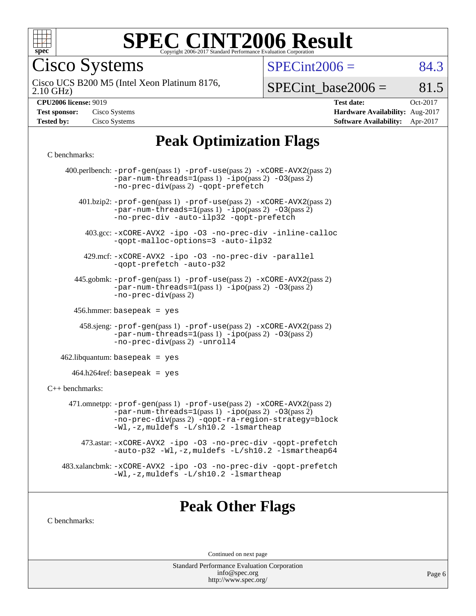

Cisco Systems

 $SPECint2006 = 84.3$  $SPECint2006 = 84.3$ 

2.10 GHz) Cisco UCS B200 M5 (Intel Xeon Platinum 8176,

 $SPECTnt\_base2006 = 81.5$ 

| <b>Test sponsor:</b> | Cisco Systems |
|----------------------|---------------|
| <b>Tested by:</b>    | Cisco Systems |

**[CPU2006 license:](http://www.spec.org/auto/cpu2006/Docs/result-fields.html#CPU2006license)** 9019 **[Test date:](http://www.spec.org/auto/cpu2006/Docs/result-fields.html#Testdate)** Oct-2017 **[Hardware Availability:](http://www.spec.org/auto/cpu2006/Docs/result-fields.html#HardwareAvailability)** Aug-2017 **[Software Availability:](http://www.spec.org/auto/cpu2006/Docs/result-fields.html#SoftwareAvailability)** Apr-2017

# **[Peak Optimization Flags](http://www.spec.org/auto/cpu2006/Docs/result-fields.html#PeakOptimizationFlags)**

#### [C benchmarks](http://www.spec.org/auto/cpu2006/Docs/result-fields.html#Cbenchmarks):

|                      | 400.perlbench: -prof-gen(pass 1) -prof-use(pass 2) -xCORE-AVX2(pass 2)<br>$-par-num-threads=1(pass 1) -ipo(pass 2) -03(pass 2)$<br>-no-prec-div(pass 2) -qopt-prefetch                                                        |
|----------------------|-------------------------------------------------------------------------------------------------------------------------------------------------------------------------------------------------------------------------------|
|                      | 401.bzip2: -prof-gen(pass 1) -prof-use(pass 2) -xCORE-AVX2(pass 2)<br>$-par-num-threads=1(pass 1) -ipo(pass 2) -03(pass 2)$<br>-no-prec-div -auto-ilp32 -qopt-prefetch                                                        |
|                      | 403.gcc: -xCORE-AVX2 -ipo -03 -no-prec-div -inline-calloc<br>-qopt-malloc-options=3 -auto-ilp32                                                                                                                               |
|                      | 429.mcf: -xCORE-AVX2 -ipo -03 -no-prec-div -parallel<br>-gopt-prefetch -auto-p32                                                                                                                                              |
|                      | 445.gobmk: -prof-gen(pass 1) -prof-use(pass 2) -xCORE-AVX2(pass 2)<br>$-par-num-threads=1(pass 1) -ipo(pass 2) -03(pass 2)$<br>$-no-prec-div(pass 2)$                                                                         |
|                      | 456.hmmer: basepeak = $yes$                                                                                                                                                                                                   |
|                      | 458.sjeng: -prof-gen(pass 1) -prof-use(pass 2) -xCORE-AVX2(pass 2)<br>$-par-num-threads=1(pass 1) -ipo(pass 2) -03(pass 2)$<br>-no-prec-div(pass 2) -unroll4                                                                  |
|                      | $462$ .libquantum: basepeak = yes                                                                                                                                                                                             |
|                      | $464.h264 \text{ref}$ : basepeak = yes                                                                                                                                                                                        |
| $C_{++}$ benchmarks: |                                                                                                                                                                                                                               |
|                      | 471.omnetpp: -prof-gen(pass 1) -prof-use(pass 2) -xCORE-AVX2(pass 2)<br>$-par-num-threads=1(pass 1) -ipo(pass 2) -03(pass 2)$<br>-no-prec-div(pass 2) -qopt-ra-region-strategy=block<br>-Wl,-z, muldefs -L/sh10.2 -lsmartheap |
|                      | 473.astar: -xCORE-AVX2 -ipo -03 -no-prec-div -qopt-prefetch<br>-auto-p32 -Wl,-z, muldefs -L/sh10.2 -lsmartheap64                                                                                                              |
|                      | 483.xalancbmk: -xCORE-AVX2 -ipo -03 -no-prec-div -qopt-prefetch<br>-Wl,-z, muldefs -L/sh10.2 -lsmartheap                                                                                                                      |
|                      |                                                                                                                                                                                                                               |

### **[Peak Other Flags](http://www.spec.org/auto/cpu2006/Docs/result-fields.html#PeakOtherFlags)**

[C benchmarks](http://www.spec.org/auto/cpu2006/Docs/result-fields.html#Cbenchmarks):

Continued on next page

Standard Performance Evaluation Corporation [info@spec.org](mailto:info@spec.org) <http://www.spec.org/>